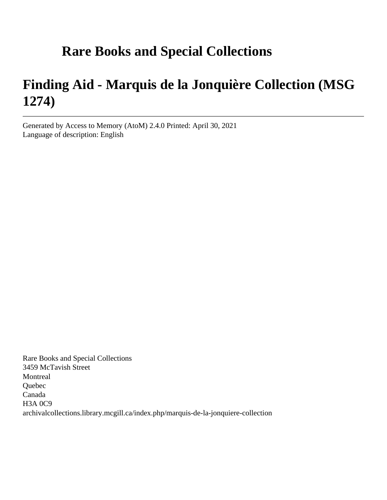# **Rare Books and Special Collections**

# **Finding Aid - Marquis de la Jonquière Collection (MSG 1274)**

Generated by Access to Memory (AtoM) 2.4.0 Printed: April 30, 2021 Language of description: English

Rare Books and Special Collections 3459 McTavish Street Montreal Quebec Canada H3A 0C9 archivalcollections.library.mcgill.ca/index.php/marquis-de-la-jonquiere-collection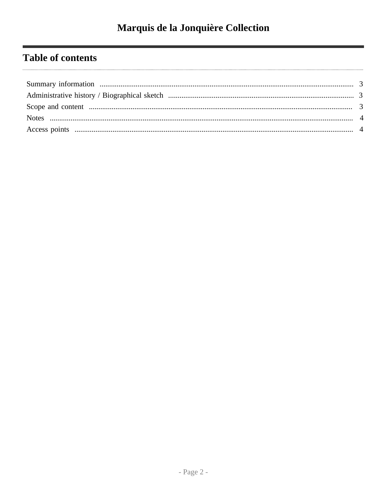# **Table of contents**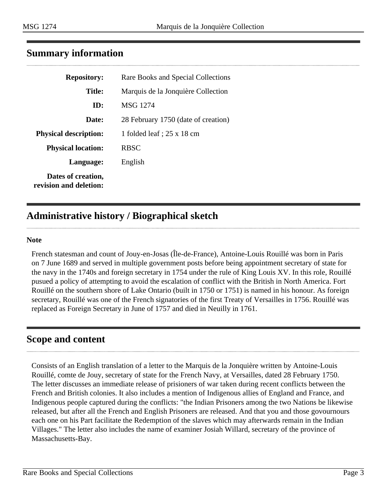<span id="page-2-0"></span>

| <b>Repository:</b>                           | Rare Books and Special Collections  |
|----------------------------------------------|-------------------------------------|
| <b>Title:</b>                                | Marquis de la Jonquière Collection  |
| ID:                                          | MSG 1274                            |
| Date:                                        | 28 February 1750 (date of creation) |
| <b>Physical description:</b>                 | 1 folded leaf ; $25 \times 18$ cm   |
| <b>Physical location:</b>                    | <b>RBSC</b>                         |
| Language:                                    | English                             |
| Dates of creation,<br>revision and deletion: |                                     |

# <span id="page-2-1"></span>**Administrative history / Biographical sketch**

#### **Note**

French statesman and count of Jouy-en-Josas (Île-de-France), Antoine-Louis Rouillé was born in Paris on 7 June 1689 and served in multiple government posts before being appointment secretary of state for the navy in the 1740s and foreign secretary in 1754 under the rule of King Louis XV. In this role, Rouillé pusued a policy of attempting to avoid the escalation of conflict with the British in North America. Fort Rouillé on the southern shore of Lake Ontario (built in 1750 or 1751) is named in his honour. As foreign secretary, Rouillé was one of the French signatories of the first Treaty of Versailles in 1756. Rouillé was replaced as Foreign Secretary in June of 1757 and died in Neuilly in 1761.

## <span id="page-2-2"></span>**Scope and content**

Consists of an English translation of a letter to the Marquis de la Jonquière written by Antoine-Louis Rouillé, comte de Jouy, secretary of state for the French Navy, at Versailles, dated 28 February 1750. The letter discusses an immediate release of prisioners of war taken during recent conflicts between the French and British colonies. It also includes a mention of Indigenous allies of England and France, and Indigenous people captured during the conflicts: "the Indian Prisoners among the two Nations be likewise released, but after all the French and English Prisoners are released. And that you and those govournours each one on his Part facilitate the Redemption of the slaves which may afterwards remain in the Indian Villages." The letter also includes the name of examiner Josiah Willard, secretary of the province of Massachusetts-Bay.